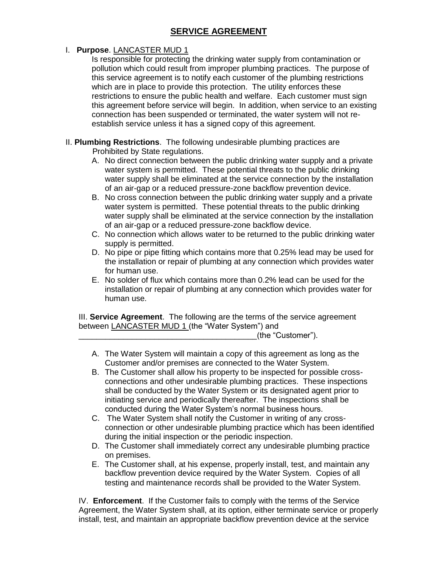## **SERVICE AGREEMENT**

## I. **Purpose**. LANCASTER MUD 1

Is responsible for protecting the drinking water supply from contamination or pollution which could result from improper plumbing practices. The purpose of this service agreement is to notify each customer of the plumbing restrictions which are in place to provide this protection. The utility enforces these restrictions to ensure the public health and welfare. Each customer must sign this agreement before service will begin. In addition, when service to an existing connection has been suspended or terminated, the water system will not reestablish service unless it has a signed copy of this agreement.

- II. **Plumbing Restrictions**. The following undesirable plumbing practices are Prohibited by State regulations.
	- A. No direct connection between the public drinking water supply and a private water system is permitted. These potential threats to the public drinking water supply shall be eliminated at the service connection by the installation of an air-gap or a reduced pressure-zone backflow prevention device.
	- B. No cross connection between the public drinking water supply and a private water system is permitted. These potential threats to the public drinking water supply shall be eliminated at the service connection by the installation of an air-gap or a reduced pressure-zone backflow device.
	- C. No connection which allows water to be returned to the public drinking water supply is permitted.
	- D. No pipe or pipe fitting which contains more that 0.25% lead may be used for the installation or repair of plumbing at any connection which provides water for human use.
	- E. No solder of flux which contains more than 0.2% lead can be used for the installation or repair of plumbing at any connection which provides water for human use.

III. **Service Agreement**. The following are the terms of the service agreement between LANCASTER MUD 1 (the "Water System") and

\_\_\_\_\_\_\_\_\_\_\_\_\_\_\_\_\_\_\_\_\_\_\_\_\_\_\_\_\_\_\_\_\_\_\_\_\_\_\_\_(the "Customer").

- A. The Water System will maintain a copy of this agreement as long as the Customer and/or premises are connected to the Water System.
- B. The Customer shall allow his property to be inspected for possible crossconnections and other undesirable plumbing practices. These inspections shall be conducted by the Water System or its designated agent prior to initiating service and periodically thereafter. The inspections shall be conducted during the Water System's normal business hours.
- C. The Water System shall notify the Customer in writing of any crossconnection or other undesirable plumbing practice which has been identified during the initial inspection or the periodic inspection.
- D. The Customer shall immediately correct any undesirable plumbing practice on premises.
- E. The Customer shall, at his expense, properly install, test, and maintain any backflow prevention device required by the Water System. Copies of all testing and maintenance records shall be provided to the Water System.

IV. **Enforcement**. If the Customer fails to comply with the terms of the Service Agreement, the Water System shall, at its option, either terminate service or properly install, test, and maintain an appropriate backflow prevention device at the service